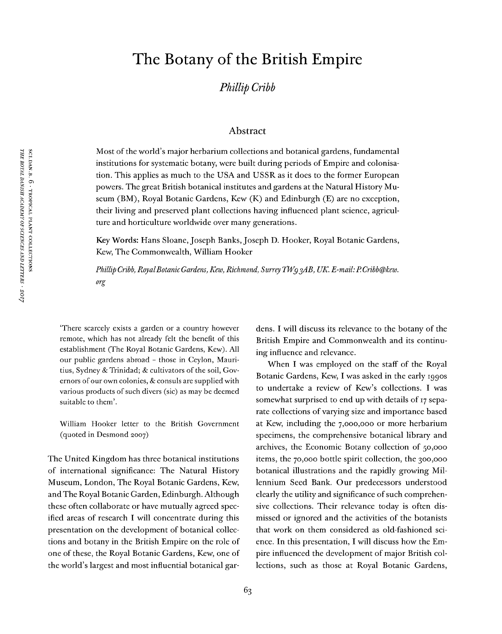# The Botany of the British Empire

*Phillip Cribb*

#### Abstract

Most of the world's major herbarium collections and botanical gardens, fundamental institutions for systematic botany, were built during periods of Empire and colonisation. This applies as much to the USA and USSR as it does to the former European powers. The great British botanical institutes and gardens at the Natural History Museum (BM), Royal Botanic Gardens, Kew (K) and Edinburgh (E) are no exception, their living and preserved plant collections having influenced plant science, agriculture and horticulture worldwide over many generations.

Key Words: Hans Sloane, Joseph Banks, Joseph D. Hooker, Royal Botanic Gardens, Kew, The Commonwealth, William Hooker

*Phillip Cribb, RoyalBotanicGardens, Kew, Richmond, Surrey TWg^AB, UK. E-mail:P.Cribb@kew. org*

'There scarcely exists a garden or a country however remote, which has not already felt the benefit of this establishment (The Royal Botanic Gardens, Kew). All our public gardens abroad - those in Ceylon, Mauritius, Sydney & Trinidad; & cultivators of the soil, Governors of our own colonies,  $&$  consuls are supplied with various products of such divers (sic) as may be deemed suitable to them'.

William Hooker letter to the British Government (quoted in Desmond 2007)

The United Kingdom has three botanical institutions of international significance: The Natural History Museum, London, The Royal Botanic Gardens, Kew, andThe Royal Botanic Garden, Edinburgh. Although these often collaborate or have mutually agreed specified areas of research I will concentrate during this presentation on the development of botanical collections and botany in the British Empire on the role of one of these, the Royal Botanic Gardens, Kew, one of the world's largest and most influential botanical gar-

dens. I will discuss its relevance to the botany of the British Empire and Commonwealth and its continuing influence and relevance.

When I was employed on the staff of the Royal Botanic Gardens, Kew, I was asked in the early 1990s to undertake a review of Kew's collections. I was somewhat surprised to end up with details of <sup>17</sup> separate collections of varying size and importance based at Kew, including the 7,000,000 or more herbarium specimens, the comprehensive botanical library and archives, the Economic Botany collection of 50,000 items, the 70,000 bottle spirit collection, the 300,000 botanical illustrations and the rapidly growing Millennium Seed Bank. Our predecessors understood clearly the utility and significance of such comprehensive collections. Their relevance today is often dismissed or ignored and the activities of the botanists that work on them considered as old-fashioned science. In this presentation, I will discuss how the Empire influenced the development of major British collections, such as those at Royal Botanic Gardens,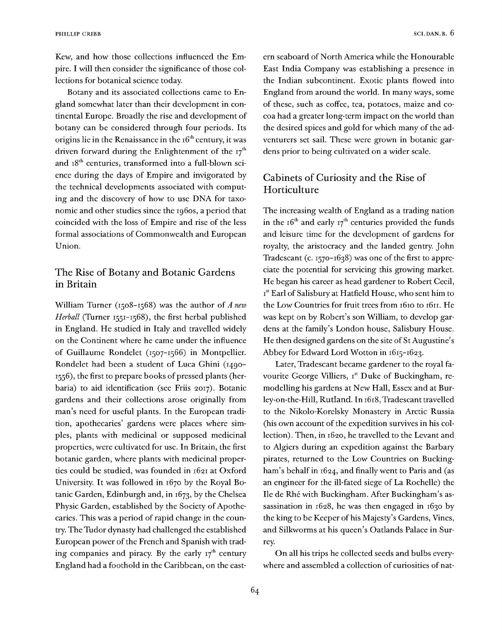Kew, and how those collections influenced the Empire. I will then consider the significance of those collections for botanical science today.

Botany and its associated collections came to England somewhat later than their development in continental Europe. Broadly the rise and development of botany can be considered through four periods. Its origins lie in the Renaissance in the  $16<sup>th</sup>$  century, it was driven forward during the Enlightenment of the  $17<sup>th</sup>$ and 18<sup>th</sup> centuries, transformed into a full-blown science during the days of Empire and invigorated by the technical developments associated with computing and the discovery of how to use DNA for taxonomic and other studies since the 1960s, a period that coincided with the loss of Empire and rise of the less formal associations of Commonwealth and European Union.

# The Rise of Botany and Botanic Gardens in Britain

William Turner (1508-1568) was the author of *A new Herball* (Turner 1551-1568), the first herbal published in England. He studied in Italy and travelled widely on the Continent where he came under the influence of Guillaume Rondelet (1507-1566) in Montpellier. Rondelet had been a student of Luca Ghini (1490- 1556), the first to prepare books of pressed plants (herbaria) to aid identification (see Friis 2017). Botanic gardens and their collections arose originally from man's need for useful plants. In the European tradition, apothecaries' gardens were places where simples, plants with medicinal or supposed medicinal properties, were cultivated for use. In Britain, the first botanic garden, where plants with medicinal properties could be studied, was founded in 1621 at Oxford University. It was followed in 1670 by the Royal Botanic Garden, Edinburgh and, in 1673, by the Chelsea Physic Garden, established by the Society of Apothecaries. This was a period of rapid change in the country. The Tudor dynasty had challenged the established European power of the French and Spanish with trading companies and piracy. By the early  $17<sup>th</sup>$  century England had a foothold in the Caribbean, on the eastern seaboard of North America while the Honourable East India Company was establishing a presence in the Indian subcontinent. Exotic plants flowed into England from around the world. In many ways, some of these, such as coffee, tea, potatoes, maize and cocoa had a greater long-term impact on the world than the desired spices and gold for which many of the adventurers set sail. These were grown in botanic gardens prior to being cultivated on a wider scale.

# Cabinets of Curiosity and the Rise of Horticulture

The increasing wealth of England as a trading nation in the  $16<sup>th</sup>$  and early  $17<sup>th</sup>$  centuries provided the funds and leisure time for the development of gardens for royalty, the aristocracy and the landed gentry. John Tradescant (c.  $1570 - 1638$ ) was one of the first to appreciate the potential for servicing this growing market. He began his career as head gardener to Robert Cecil, Ist Earl of Salisbury at Hatfield House, who sent him to the Low Countries for fruit trees from 1610 to 1611. He was kept on by Robert's son William, to develop gardens at the family's London house, Salisbury House. He then designed gardens on the site of St Augustine's Abbey for Edward Lord Wotton in 1615-1623.

Later, Tradescant became gardener to the royal favourite George Villiers, Ist Duke of Buckingham, remodelling his gardens at New Hall, Essex and at Burley-on-the-Hill, Rutland. In 1618, Tradescant travelled to the Nikolo-Korelsky Monastery in Arctic Russia (his own account of the expedition survives in his collection). Then, in 1620, he travelled to the Levant and to Algiers during an expedition against the Barbary pirates, returned to the Low Countries on Buckingham's behalf in 1624, and finally went to Paris and (as an engineer for the ill-fated siege of La Rochelle) the Ile de Rhé with Buckingham. After Buckingham's assassination in 1628, he was then engaged in 1630 by the king to be Keeper of his Majesty's Gardens, Vines, and Silkworms at his queen's Oatlands Palace in Surrey.

On all his trips he collected seeds and bulbs everywhere and assembled a collection of curiosities of nat-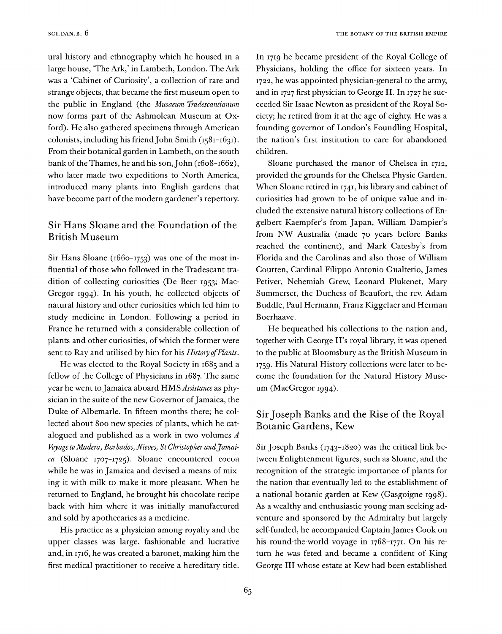ural history and ethnography which he housed in a large house, 'The Ark,' in Lambeth, London. The Ark was a 'Cabinet of Curiosity', a collection of rare and strange objects, that became the first museum open to the public in England (the *Musaeum Iradescantianum* now forms part of the Ashmolean Museum at Oxford). He also gathered specimens through American colonists, including his friend John Smith (1581-1631). From their botanical garden in Lambeth, on the south bank of the Thames, he and his son, John (1608-1662), who later made two expeditions to North America, introduced many plants into English gardens that have become part of the modern gardener's repertory.

### Sir Hans Sloane and the Foundation of the British Museum

Sir Hans Sloane (1660-1753) was one of the most influential of those who followed in the Tradescant tradition of collecting curiosities (De Beer 1953; Mac-Gregor 1994). In his youth, he collected objects of natural history and other curiosities which led him to study medicine in London. Following a period in France he returned with a considerable collection of plants and other curiosities, of which the former were sent to Ray and utilised by him for his *History ofPlants.*

He was elected to the Royal Society in 1685 and a fellow of the College of Physicians in 1687. The same year he went to Jamaica aboard HMS Assistance as physician in the suite of the new Governor of Jamaica, the Duke of Albemarle. In fifteen months there; he collected about 800 new species of plants, which he catalogued and published as a work in two volumes *A Voyage to Madera, Barbados, Nieves, St Christopher andJamaica* (Sloane 1707-1725). Sloane encountered cocoa while he was in Jamaica and devised a means of mixing it with milk to make it more pleasant. When he returned to England, he brought his chocolate recipe back with him where it was initially manufactured and sold by apothecaries as a medicine.

His practice as a physician among royalty and the upper classes was large, fashionable and lucrative and, in 1716, he was created a baronet, making him the first medical practitioner to receive a hereditary title.

In <sup>1719</sup> he became president of the Royal College of Physicians, holding the office for sixteen years. In 1722, he was appointed physician-general to the army, and in <sup>1727</sup> first physician to George II. In 1727 he succeeded Sir Isaac Newton as president of the Royal Society; he retired from it at the age of eighty. He was a founding governor of London's Foundling Hospital, the nation's first institution to care for abandoned children.

Sloane purchased the manor of Chelsea in 1712, provided the grounds for the Chelsea Physic Garden. When Sloane retired in 1741, his library and cabinet of curiosities had grown to be of unique value and included the extensive natural history collections of Engelbert Kaempfer's from Japan, William Dampier's from NW Australia (made 70 years before Banks reached the continent), and Mark Catesby's from Florida and the Carolinas and also those of William Courten, Cardinal Filippo Antonio Gualterio, James Petiver, Nehemiah Grew, Leonard Plukenet, Mary Summerset, the Duchess of Beaufort, the rev. Adam Buddle, Paul Hermann, Franz Kiggelaer and Herman Boerhaave.

He bequeathed his collections to the nation and, together with George H's royal library, it was opened to the public at Bloomsbury as the British Museum in 1759. His Natural History collections were later to become the foundation for the Natural History Museum (MacGregor 1994).

# SirJoseph Banks and the Rise of the Royal Botanic Gardens, Kew

Sir Joseph Banks (1743-1820) was the critical link between Enlightenment figures, such as Sloane, and the recognition of the strategic importance of plants for the nation that eventually led to the establishment of a national botanic garden at Kew (Gasgoigne 1998). As a wealthy and enthusiastic young man seeking adventure and sponsored by the Admiralty but largely self-funded, he accompanied Captain James Cook on his round-the-world voyage in 1768-1771. On his return he was feted and became a confident of King George III whose estate at Kew had been established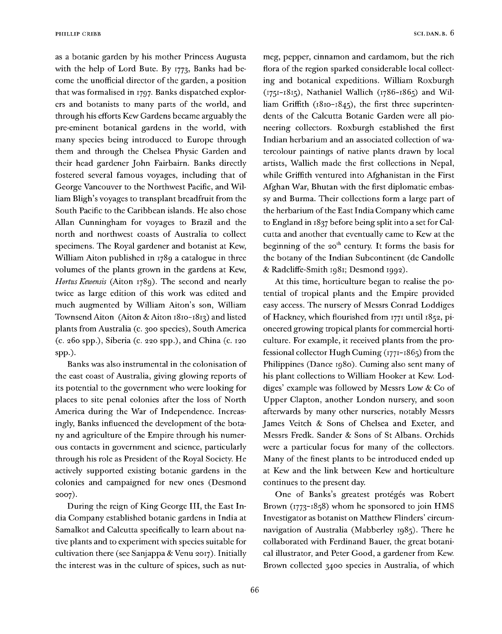as a botanic garden by his mother Princess Augusta with the help of Lord Bute. By 1773, Banks had become the unofficial director of the garden, a position that was formalised in 1797. Banks dispatched explorers and botanists to many parts of the world, and through his efforts Kew Gardens became arguably the pre-eminent botanical gardens in the world, with many species being introduced to Europe through them and through the Chelsea Physic Garden and their head gardener John Fairbairn. Banks directly fostered several famous voyages, including that of George Vancouver to the Northwest Pacific, and William Bligh's voyages to transplant breadfruit from the South Pacific to the Caribbean islands. He also chose Allan Cunningham for voyages to Brazil and the north and northwest coasts of Australia to collect specimens. The Royal gardener and botanist at Kew, William Aiton published in 1789 a catalogue in three volumes of the plants grown in the gardens at Kew, *Hortus Kewensis* (Aiton 1789). The second and nearly twice as large edition of this work was edited and much augmented by William Aiton's son, William Townsend Aiton (Aiton & Aiton 1810-1813) and listed plants from Australia (c. 300 species), South America (c. 260 spp.), Siberia (c. 220 spp.), and China (c. 120 spp.).

Banks was also instrumental in the colonisation of the east coast of Australia, giving glowing reports of its potential to the government who were looking for places to site penal colonies after the loss of North America during the War of Independence. Increasingly, Banks influenced the development of the botany and agriculture of the Empire through his numerous contacts in government and science, particularly through his role as President of the Royal Society. He actively supported existing botanic gardens in the colonies and campaigned for new ones (Desmond 2007).

During the reign of King George III, the East India Company established botanic gardens in India at Samalkot and Calcutta specifically to learn about native plants and to experiment with species suitable for cultivation there (see Sanjappa & Venu 2017). Initially the interest was in the culture of spices, such as nutmeg, pepper, cinnamon and cardamom, but the rich flora of the region sparked considerable local collecting and botanical expeditions. William Roxburgh (1751-1815), Nathaniel Wallich (1786-1865) and William Griffith (1810-1845), the first three superintendents of the Calcutta Botanic Garden were all pioneering collectors. Roxburgh established the first Indian herbarium and an associated collection of watercolour paintings of native plants drawn by local artists, Wallich made the first collections in Nepal, while Griffith ventured into Afghanistan in the First Afghan War, Bhutan with the first diplomatic embassy and Burma. Their collections form a large part of the herbarium of the East India Company which came to England in 1837 before being split into a set for Calcutta and another that eventually came to Kew at the beginning of the  $20<sup>th</sup>$  century. It forms the basis for the botany of the Indian Subcontinent (de Candolle & Radcliffe-Smith 1981; Desmond 1992).

At this time, horticulture began to realise the potential of tropical plants and the Empire provided easy access. The nursery of Messrs Conrad Loddiges of Hackney, which flourished from <sup>1771</sup> until 1852, pioneered growing tropical plants for commercial horticulture. For example, it received plants from the professional collector Hugh Cuming (1771-1865) from the Philippines (Dance 1980). Cuming also sent many of his plant collections to William Hooker at Kew. Loddiges' example was followed by Messrs Low & Co of Upper Clapton, another London nursery, and soon afterwards by many other nurseries, notably Messrs James Veitch & Sons of Chelsea and Exeter, and Messrs Fredk. Sander & Sons of St Albans. Orchids were a particular focus for many of the collectors. Many of the finest plants to be introduced ended up at Kew and the link between Kew and horticulture continues to the present day.

One of Banks's greatest protégés was Robert Brown (1773-1858) whom he sponsored to join HMS Investigator as botanist on Matthew Flinders' circumnavigation of Australia (Mabberley 1985). There he collaborated with Ferdinand Bauer, the great botanical illustrator, and Peter Good, a gardener from Kew. Brown collected 3400 species in Australia, of which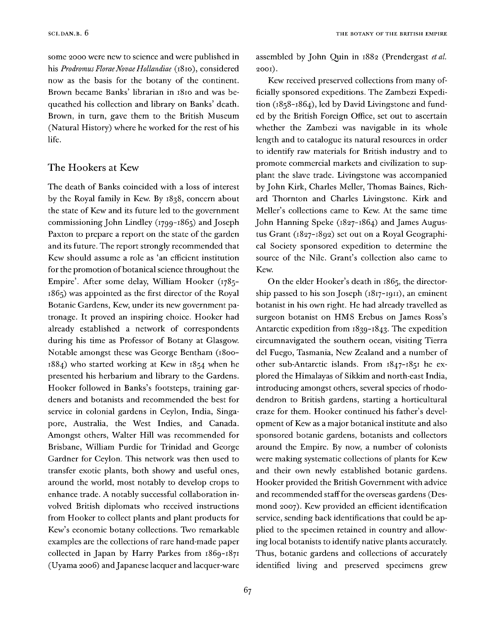some 2000 were new to science and were published in his *Prodromus FloraeNovae Hollandiae* (1810), considered now as the basis for the botany of the continent. Brown became Banks' librarian in 1810 and was bequeathed his collection and library on Banks' death. Brown, in turn, gave them to the British Museum (Natural History) where he worked for the rest of his life.

#### The Hookers at Kew

The death of Banks coincided with a loss of interest by the Royal family in Kew. By 1838, concern about the state of Kew and its future led to the government commissioning John Lindley (1799-1865) and Joseph Paxton to prepare a report on the state of the garden and its future. The report strongly recommended that Kew should assume a role as 'an efficient institution for the promotion of botanical science throughout the Empire'. After some delay, William Hooker (1785- 1865) was appointed as the first director of the Royal Botanic Gardens, Kew, under its new government patronage. It proved an inspiring choice. Hooker had already established a network of correspondents during his time as Professor of Botany at Glasgow. Notable amongst these was George Bentham (1800- 1884) who started working at Kew in 1854 when he presented his herbarium and library to the Gardens. Hooker followed in Banks's footsteps, training gardeners and botanists and recommended the best for service in colonial gardens in Ceylon, India, Singapore, Australia, the West Indies, and Canada. Amongst others, Walter Hill was recommended for Brisbane, William Purdie for Trinidad and George Gardner for Ceylon. This network was then used to transfer exotic plants, both showy and useful ones, around the world, most notably to develop crops to enhance trade. A notably successful collaboration involved British diplomats who received instructions from Hooker to collect plants and plant products for Kew's economic botany collections. Two remarkable examples are the collections of rare hand-made paper collected in Japan by Harry Parkes from 1869-1871 (Uyama 2006) and Japanese lacquer and lacquer-ware

assembled by John Quin in 1882 (Prendergast *et al.* 2001).

Kew received preserved collections from many officially sponsored expeditions. The Zambezi Expedition (1858-1864), led by David Livingstone and funded by the British Foreign Office, set out to ascertain whether the Zambezi was navigable in its whole length and to catalogue its natural resources in order to identify raw materials for British industry and to promote commercial markets and civilization to supplant the slave trade. Livingstone was accompanied by John Kirk, Charles Meller, Thomas Baines, Richard Thornton and Charles Livingstone. Kirk and Meller's collections came to Kew. At the same time John Hanning Speke (1827-1864) and James Augustus Grant (1827-1892) set out on a Royal Geographical Society sponsored expedition to determine the source of the Nile. Grant's collection also came to Kew.

On the elder Hooker's death in 1865, the directorship passed to his son Joseph (1817-1911), an eminent botanist in his own right. He had already travelled as surgeon botanist on HMS Erebus on James Ross's Antarctic expedition from 1839-1843. The expedition circumnavigated the southern ocean, visiting Tierra del Fuego, Tasmania, New Zealand and a number of other sub-Antarctic islands. From 1847-1851 he explored the Himalayas of Sikkim and north-east India, introducing amongst others, several species of rhododendron to British gardens, starting a horticultural craze for them. Hooker continued his father's development of Kew as a major botanical institute and also sponsored botanic gardens, botanists and collectors around the Empire. By now, a number of colonists were making systematic collections of plants for Kew and their own newly established botanic gardens. Hooker provided the British Government with advice and recommended staff for the overseas gardens (Desmond 2007). Kew provided an efficient identification service, sending back identifications that could be applied to the specimen retained in country and allowing local botanists to identify native plants accurately. Thus, botanic gardens and collections of accurately identified living and preserved specimens grew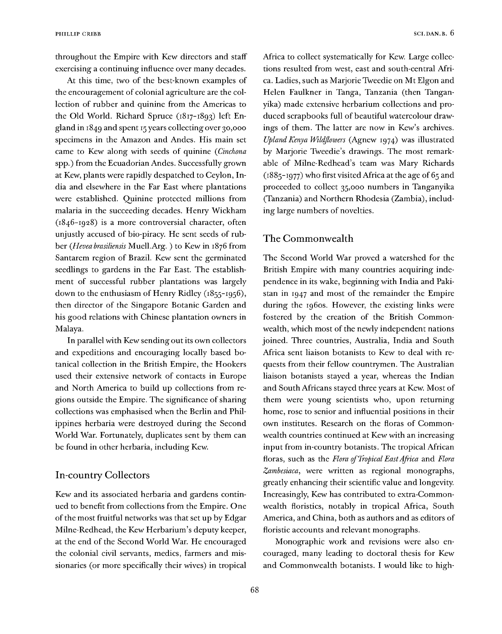throughout the Empire with Kew directors and staff exercising a continuing influence over many decades.

At this time, two of the best-known examples of the encouragement of colonial agriculture are the collection of rubber and quinine from the Americas to the Old World. Richard Spruce (1817-1893) left England in 1849 and spent <sup>15</sup> years collecting over 30,000 specimens in the Amazon and Andes. His main set came to Kew along with seeds of quinine *(Cinchona* spp.) from the Ecuadorian Andes. Successfully grown at Kew, plants were rapidly despatched to Ceylon, India and elsewhere in the Far East where plantations were established. Quinine protected millions from malaria in the succeeding decades. Henry Wickham (1846-1928) is a more controversial character, often unjustly accused of bio-piracy. He sent seeds of rubber *(Heveabrasiliensis* Muell.Arg. ) to Kew in 1876 from Santarem region of Brazil. Kew sent the germinated seedlings to gardens in the Far East. The establishment of successful rubber plantations was largely down to the enthusiasm of Henry Ridley (1855-1956), then director of the Singapore Botanic Garden and his good relations with Chinese plantation owners in Malaya.

In parallel with Kew sending out its own collectors and expeditions and encouraging locally based botanical collection in the British Empire, the Hookers used their extensive network of contacts in Europe and North America to build up collections from regions outside the Empire. The significance of sharing collections was emphasised when the Berlin and Philippines herbaria were destroyed during the Second World War. Fortunately, duplicates sent by them can be found in other herbaria, including Kew.

#### In-country Collectors

Kew and its associated herbaria and gardens continued to benefit from collections from the Empire. One of the most fruitful networks was that set up by Edgar Milne-Redhead, the Kew Herbarium's deputy keeper, at the end of the Second World War. He encouraged the colonial civil servants, medics, farmers and missionaries (or more specifically their wives) in tropical Africa to collect systematically for Kew. Large collections resulted from west, east and south-central Africa. Ladies, such as Marjorie Tweedie on Mt Elgon and Helen Faulkner in Tanga, Tanzania (then Tanganyika) made extensive herbarium collections and produced scrapbooks full of beautiful watercolour drawings of them. The latter are now in Kew's archives. *Upland Kenya Wildflowers* (Agnew 1974) was illustrated by Marjorie Tweedie's drawings. The most remarkable of Milne-Redhead's team was Mary Richards (1885-1977) who first visited Africa at the age of 65 and proceeded to collect 35,000 numbers in Tanganyika (Tanzania) and Northern Rhodesia (Zambia), including large numbers of novelties.

#### The Commonwealth

The Second World War proved a watershed for the British Empire with many countries acquiring independence in its wake, beginning with India and Pakistan in 1947 and most of the remainder the Empire during the 1960s. However, the existing links were fostered by the creation of the British Commonwealth, which most of the newly independent nations joined. Three countries, Australia, India and South Africa sent liaison botanists to Kew to deal with requests from their fellow countrymen. The Australian liaison botanists stayed a year, whereas the Indian and South Africans stayed three years at Kew. Most of them were young scientists who, upon returning home, rose to senior and influential positions in their own institutes. Research on the floras of Commonwealth countries continued at Kew with an increasing input from in-country botanists. The tropical African floras, such as the *Flora ofTropical EastAfrica* and *Flora Zambesiaca,* were written as regional monographs, greatly enhancing their scientific value and longevity. Increasingly, Kew has contributed to extra-Commonwealth floristics, notably in tropical Africa, South America, and China, both as authors and as editors of floristic accounts and relevant monographs.

Monographic work and revisions were also encouraged, many leading to doctoral thesis for Kew and Commonwealth botanists. I would like to high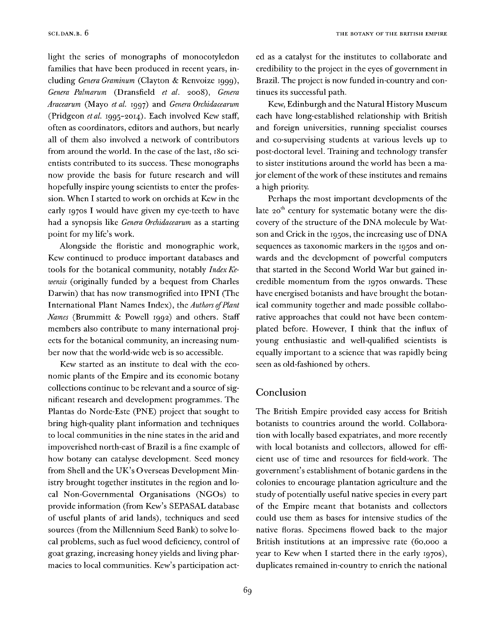light the series of monographs of monocotyledon families that have been produced in recent years, including *Genera Graminum* (Clayton & Renvoize 1999), *Genera Palmarum* (Dransfield *el al.* 2008), *Genera Aracearum* (Mayo *et al.* 1997) and *Genera Orchidacearum* (Pridgeon *et al.* 1995-2014). Each involved Kew staff, often as coordinators, editors and authors, but nearly all of them also involved a network of contributors from around the world. In the case of the last, 180 scientists contributed to its success. These monographs now provide the basis for future research and will hopefully inspire young scientists to enter the profession. When I started to work on orchids at Kew in the early 1970s I would have given my eye-teeth to have had a synopsis like *Genera Orchidacearum* as a starting point for my life's work.

Alongside the floristic and monographic work, Kew continued to produce important databases and tools for the botanical community, notably *Index Kewensis* (originally funded by a bequest from Charles Darwin) that has now transmogrified into IPNI (The International Plant Names Index), the *Authors ofPlant Names* (Brummitt & Powell 1992) and others. Staff members also contribute to many international projects for the botanical community, an increasing number now that the world-wide web is so accessible.

Kew started as an institute to deal with the economic plants of the Empire and its economic botany collections continue to be relevant and a source of significant research and development programmes. The Plantas do Norde-Este (PNE) project that sought to bring high-quality plant information and techniques to local communities in the nine states in the arid and impoverished north-east of Brazil is a fine example of how botany can catalyse development. Seed money from Shell and the UK's Overseas Development Ministry brought together institutes in the region and local Non-Governmental Organisations (NGOs) to provide information (from Kew's SEPASAL database of useful plants of arid lands), techniques and seed sources (from the Millennium Seed Bank) to solve local problems, such as fuel wood deficiency, control of goat grazing, increasing honey yields and living pharmacies to local communities. Kew's participation act-

69

ed as a catalyst for the institutes to collaborate and credibility to the project in the eyes of government in Brazil. The project is now funded in-country and continues its successful path.

Kew, Edinburgh and the Natural History Museum each have long-established relationship with British and foreign universities, running specialist courses and co-supervising students at various levels up to post-doctoral level. Training and technology transfer to sister institutions around the world has been a major element of the work of these institutes and remains a high priority.

Perhaps the most important developments of the late 20<sup>th</sup> century for systematic botany were the discovery of the structure of the DNA molecule by Watson and Crick in the 1950s, the increasing use of DNA sequences as taxonomic markers in the 1950s and onwards and the development of powerful computers that started in the Second World War but gained incredible momentum from the 1970s onwards. These have energised botanists and have brought the botanical community together and made possible collaborative approaches that could not have been contemplated before. However, I think that the influx of young enthusiastic and well-qualified scientists is equally important to a science that was rapidly being seen as old-fashioned by others.

#### Conclusion

The British Empire provided easy access for British botanists to countries around the world. Collaboration with locally based expatriates, and more recently with local botanists and collectors, allowed for efficient use of time and resources for field-work. The government's establishment of botanic gardens in the colonies to encourage plantation agriculture and the study of potentially useful native species in every part of the Empire meant that botanists and collectors could use them as bases for intensive studies of the native floras. Specimens flowed back to the major British institutions at an impressive rate (60,000 a year to Kew when I started there in the early 1970s), duplicates remained in-country to enrich the national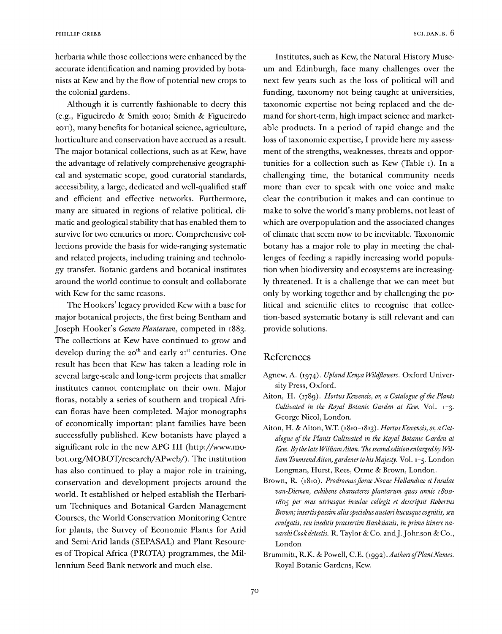herbaria while those collections were enhanced by the accurate identification and naming provided by botanists at Kew and by the flow of potential new crops to the colonial gardens.

Although it is currently fashionable to decry this (e.g., Figueiredo & Smith 2010; Smith & Figueiredo 2011), many benefits for botanical science, agriculture, horticulture and conservation have accrued as a result. The major botanical collections, such as at Kew, have the advantage of relatively comprehensive geographical and systematic scope, good curatorial standards, accessibility, a large, dedicated and well-qualified staff and efficient and effective networks. Furthermore, many are situated in regions of relative political, climatic and geological stability that has enabled them to survive for two centuries or more. Comprehensive collections provide the basis for wide-ranging systematic and related projects, including training and technology transfer. Botanic gardens and botanical institutes around the world continue to consult and collaborate with Kew for the same reasons.

The Hookers' legacy provided Kew with a base for major botanical projects, the first being Bentham and Joseph Hooker's *Genera Plantarum,* competed in 1883. The collections at Kew have continued to grow and develop during the 20<sup>th</sup> and early  $2I<sup>st</sup>$  centuries. One result has been that Kew has taken a leading role in several large-scale and long-term projects that smaller institutes cannot contemplate on their own. Major floras, notably a series of southern and tropical African floras have been completed. Major monographs of economically important plant families have been successfully published. Kew botanists have played a significant role in the new APG III (http://www.mobot.org/MOBOT/research/APweb/). The institution has also continued to play a major role in training, conservation and development projects around the world. It established or helped establish the Herbarium Techniques and Botanical Garden Management Courses, the World Conservation Monitoring Centre for plants, the Survey of Economic Plants for Arid and Semi-Arid lands (SEPASAL) and Plant Resources of Tropical Africa (PROTA) programmes, the Millennium Seed Bank network and much else.

Institutes, such as Kew, the Natural History Museum and Edinburgh, face many challenges over the next few years such as the loss of political will and funding, taxonomy not being taught at universities, taxonomic expertise not being replaced and the demand for short-term, high impact science and marketable products. In a period of rapid change and the loss of taxonomic expertise, I provide here my assessment of the strengths, weaknesses, threats and opportunities for a collection such as Kew (Table 1). In a challenging time, the botanical community needs more than ever to speak with one voice and make clear the contribution it makes and can continue to make to solve the world's many problems, not least of which are overpopulation and the associated changes of climate that seem now to be inevitable. Taxonomic botany has a major role to play in meeting the challenges of feeding a rapidly increasing world population when biodiversity and ecosystems are increasingly threatened. It is a challenge that we can meet but only by working together and by challenging the political and scientific elites to recognise that collection-based systematic botany is still relevant and can provide solutions.

#### References

- Agnew, A. (1974). *UplandKenya Wildflowers.* Oxford University Press, Oxford.
- Aiton, H. (1789). *Hortus Kewensis, or, a Catalogue of the Plants Cultivated in the Royal Botanic Garden at Kew.* Vol. 1-3. George Nicol, London.
- Aiton, H. & Aiton, W.T. (1810-1813). *HortusKewensis, or, a Catalogue oflthe Plants Cultivated in the Royal Botanic Garden at Kew. By the late WilliamAiton. The second edition enlargedby WilliamTownsendAiton, gardenerto hisMajesty.* Vol. 1-5. London Longman, Hurst, Rees, Orme & Brown, London.
- Brown, R. (1810). *Prodromusflorae Novae Hollandiae et Insulae van-Diemen, exhibens characteres plantarum quas annis 1802- 1805 per oras utriusque insulae collegit et descripsit Robertus Brown; insertispassim aliisspedebus auctori hucusque cognitis, seu evulgatis, seu ineditis praesertim Banksianis, in primo itinere navarchi Cookdetectis.* R. Taylor & Co. andJ.Johnson & Co., London
- Brummitt, R.K. & Powell, C.E. (1992). *Authors of Plant Names.* Royal Botanic Gardens, Kew.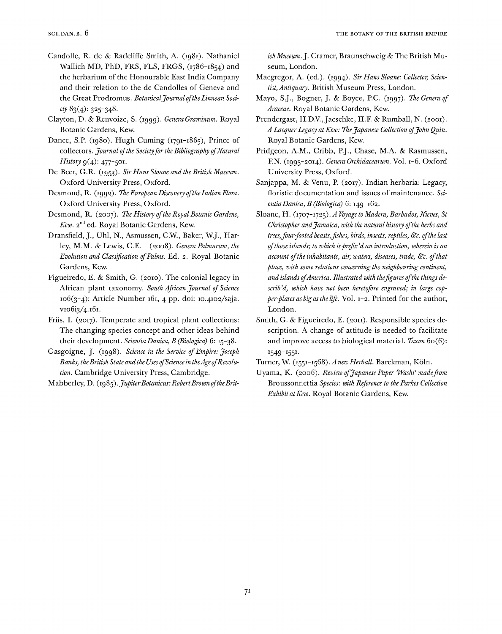- Candolle, R. de & Radcliffe Smith, A. (ig8i). Nathaniel Wallich MD, PhD, FRS, FLS, FRGS, (1786-1854) and the herbarium of the Honourable East India Company and their relation to the de Candolles of Geneva and the Great Prodromus. *BotanicalJournaloftheLinnean Society* 83(4): 325-348-
- Clayton, D. & Renvoize, S. (iggg). *Genera Graminum.* Royal Botanic Gardens, Kew.
- Dance, S.P. (1980). Hugh Cuming (1791-1865), Prince of collectors. *Journal ofthe Societyforthe Bibliography ofNatural History* 9(4): 477-501.
- De Beer, G.R. (ig53). *Sir Hans Sloane and the British Museum.* Oxford University Press, Oxford.
- Desmond, R. (igga). *TheEuropean Discovery oftheIndian Flora.* Oxford University Press, Oxford.
- Desmond, R. (2007). *The History ofthe Royal Botanic Gardens,* Kew. 2<sup>nd</sup> ed. Royal Botanic Gardens, Kew.
- Dransfield, J., Uhl, N., Asmussen, C.W., Baker, W.J., Harley, M.M. & Lewis, C.E. (2008). *Genera Palmarum, the Evolution and Classification ofPalms.* Ed. 2. Royal Botanic Gardens, Kew.
- Figueiredo, E. & Smith, G. (2010). The colonial legacy in African plant taxonomy. *South African Journal ofScience* 106(3-4): Article Number 161, 4 pp. doi: 10.4102/saja. vio6i3/4.161.
- Friis, I. (2017). Temperate and tropical plant collections: The changing species concept and other ideas behind their development. *Scientia Danica, B (Biologica)* 6:15-38.
- Gasgoigne, J. (igg8). *Science in the Service ofEmpire: Joseph Banks, theBritish State and the Uses ofScience in theAgeofRevolution.* Cambridge University Press, Cambridge.

Mabberley, D. *(wfifif). JupiterBotanicus: RobertBrown oftheBrit-*

*ish Museum.].* Cramer, Braunschweig & The British Museum, London.

- Macgregor, A. (ed.). (igg4). *Sir Hans Sloane: Collector, Scientist, Antiquary.* British Museum Press, London.
- Mayo, S .J., Bogner, J. & Boyce, P.C. (igg7). *The Genera of Araceae.* Royal Botanic Gardens, Kew.
- Prendergast, H.D.V., Jaeschke, H.F. & Rumball, N. (2001). *A Lacquer Legacy atKew: TheJapanese Collection ofJohn Quin.* Royal Botanic Gardens, Kew.
- Pridgeon, A.M., Cribb, P.J., Chase, M.A. & Rasmussen, F.N. 61995-2014). *Genera Orchidacearum.* Vol. 1-6. Oxford University Press, Oxford.
- Sanjappa, M. & Venu, P. (2017). Indian herbaria: Legacy, floristic documentation and issues of maintenance. Sa*entiaDanica, B (Biologica)* 6: I4g-i62.
- Sloane, H. (1707-1725). *A Voyage to Madera, Barbados, Nieves, St Christopher andJamaica, with the natural history ofthe herbs and trees,four-footedbeasts,fishes, birds, insects, reptiles, &c. ofthe last ofthose islands; to which isprefix'd an introduction, wherein is an account ofthe inhabitants, air, waters, diseases, trade, &c. ofthat place, with some relations concerning the neighbouring continent, and islands ofAmerica. Illustrated with thefigures ofthe things describ'd, which have not been heretofore engraved; in large copper-plates as big asthe life.* Vol. 1-2. Printed for the author, London.
- Smith, G. & Figueiredo, E. (2011). Responsible species description. A change of attitude is needed to facilitate and improve access to biological material. *Faxon* 60(6): I549-I551-

Turner, W. (1551-1568). *A newHerball.* Barckman, Köln.

Uyama, K. (2006). *Review ofJapanese Paper'Washi'madefrom* Broussonnettia *Species: with Reference to the Parkes Collection Exhibit atKew.* Royal Botanic Gardens, Kew.